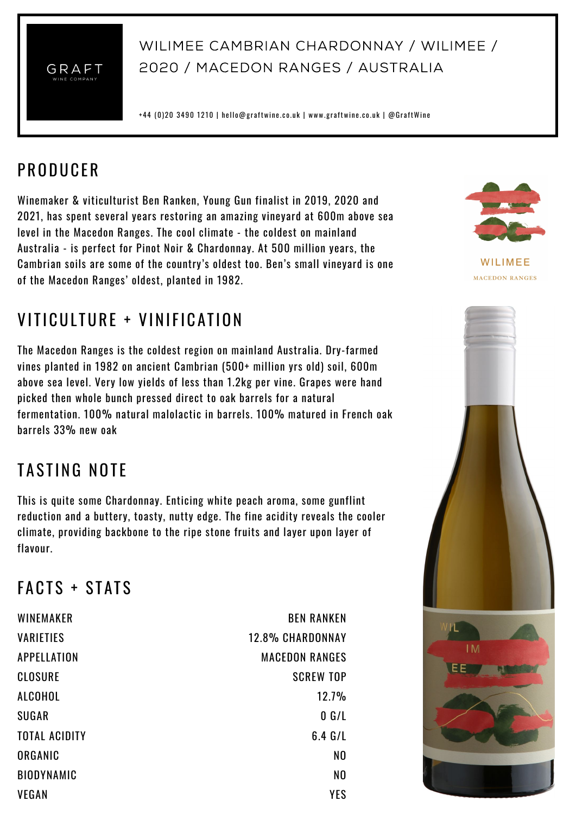

#### Wilimee Cambrian Chardonnay / Wilimee / 2020 / Macedon Ranges / Australia

+44 (0)20 3490 1210 | hello@graftwine.co.uk | www.graftwine.co.uk | @GraftWine

### **PRODUCER**

Winemaker & viticulturist Ben Ranken, Young Gun finalist in 2019, 2020 and 2021, has spent several years restoring an amazing vineyard at 600m above sea level in the Macedon Ranges. The cool climate - the coldest on mainland Australia - is perfect for Pinot Noir & Chardonnay. At 500 million years, the Cambrian soils are some of the country's oldest too. Ben's small vineyard is one of the Macedon Ranges' oldest, planted in 1982.

# VITICULTURE + VINIFICATION

The Macedon Ranges is the coldest region on mainland Australia. Dry-farmed vines planted in 1982 on ancient Cambrian (500+ million yrs old) soil, 600m above sea level. Very low yields of less than 1.2kg per vine. Grapes were hand picked then whole bunch pressed direct to oak barrels for a natural fermentation. 100% natural malolactic in barrels. 100% matured in French oak barrels 33% new oak

# TASTING NOTE

This is quite some Chardonnay. Enticing white peach aroma, some gunflint reduction and a buttery, toasty, nutty edge. The fine acidity reveals the cooler climate, providing backbone to the ripe stone fruits and layer upon layer of flavour.

### $FACTS + STATS$

| WINEMAKER            | <b>BEN RANKEN</b>       |
|----------------------|-------------------------|
| <b>VARIETIES</b>     | <b>12.8% CHARDONNAY</b> |
| APPELLATION          | <b>MACEDON RANGES</b>   |
| <b>CLOSURE</b>       | <b>SCREW TOP</b>        |
| ALCOHOL              | 12.7%                   |
| <b>SUGAR</b>         | 0 G/L                   |
| <b>TOTAL ACIDITY</b> | $6.4$ G/L               |
| ORGANIC              | N <sub>0</sub>          |
| <b>BIODYNAMIC</b>    | N <sub>0</sub>          |
| <b>VEGAN</b>         | YES                     |



WILIMEE **MACEDON RANGES**